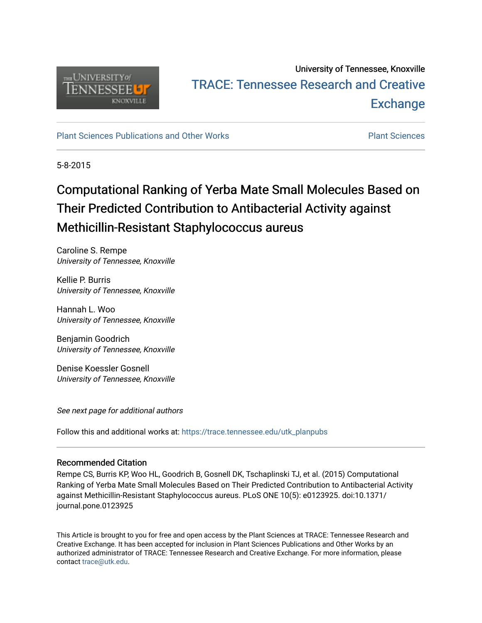

# University of Tennessee, Knoxville TRACE: T[ennessee Research and Cr](https://trace.tennessee.edu/)eative **Exchange**

[Plant Sciences Publications and Other Works](https://trace.tennessee.edu/utk_planpubs) [Plant Sciences](https://trace.tennessee.edu/utk-plan) 

5-8-2015

# Computational Ranking of Yerba Mate Small Molecules Based on Their Predicted Contribution to Antibacterial Activity against Methicillin-Resistant Staphylococcus aureus

Caroline S. Rempe University of Tennessee, Knoxville

Kellie P. Burris University of Tennessee, Knoxville

Hannah L. Woo University of Tennessee, Knoxville

Benjamin Goodrich University of Tennessee, Knoxville

Denise Koessler Gosnell University of Tennessee, Knoxville

See next page for additional authors

Follow this and additional works at: [https://trace.tennessee.edu/utk\\_planpubs](https://trace.tennessee.edu/utk_planpubs?utm_source=trace.tennessee.edu%2Futk_planpubs%2F84&utm_medium=PDF&utm_campaign=PDFCoverPages) 

# Recommended Citation

Rempe CS, Burris KP, Woo HL, Goodrich B, Gosnell DK, Tschaplinski TJ, et al. (2015) Computational Ranking of Yerba Mate Small Molecules Based on Their Predicted Contribution to Antibacterial Activity against Methicillin-Resistant Staphylococcus aureus. PLoS ONE 10(5): e0123925. doi:10.1371/ journal.pone.0123925

This Article is brought to you for free and open access by the Plant Sciences at TRACE: Tennessee Research and Creative Exchange. It has been accepted for inclusion in Plant Sciences Publications and Other Works by an authorized administrator of TRACE: Tennessee Research and Creative Exchange. For more information, please contact [trace@utk.edu](mailto:trace@utk.edu).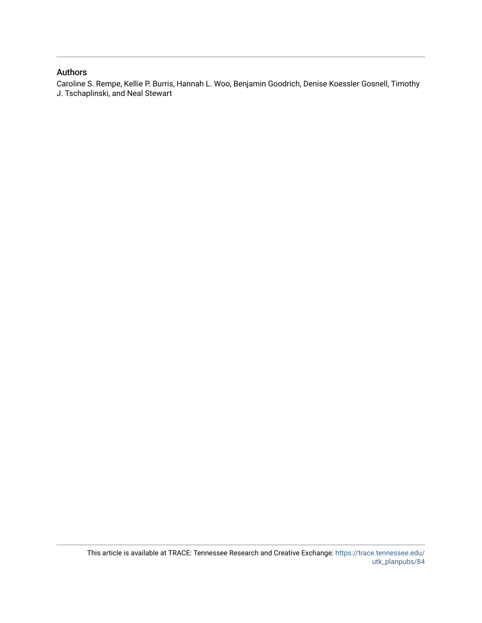## Authors

Caroline S. Rempe, Kellie P. Burris, Hannah L. Woo, Benjamin Goodrich, Denise Koessler Gosnell, Timothy J. Tschaplinski, and Neal Stewart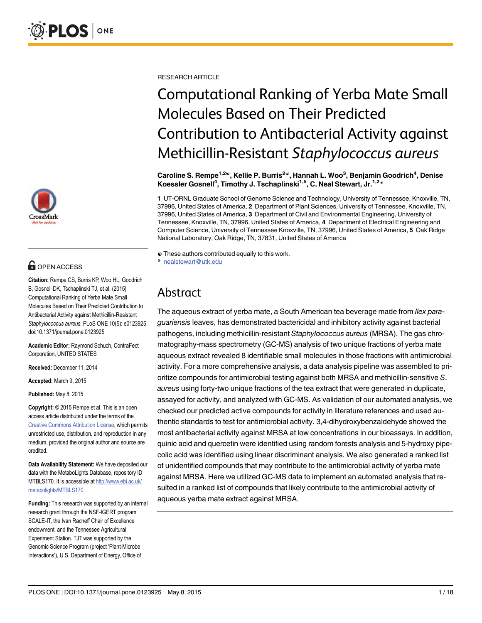

# **O** OPEN ACCESS

Citation: Rempe CS, Burris KP, Woo HL, Goodrich B, Gosnell DK, Tschaplinski TJ, et al. (2015) Computational Ranking of Yerba Mate Small Molecules Based on Their Predicted Contribution to Antibacterial Activity against Methicillin-Resistant Staphylococcus aureus. PLoS ONE 10(5): e0123925. doi:10.1371/journal.pone.0123925

Academic Editor: Raymond Schuch, ContraFect Corporation, UNITED STATES

Received: December 11, 2014

Accepted: March 9, 2015

Published: May 8, 2015

Copyright: © 2015 Rempe et al. This is an open access article distributed under the terms of the [Creative Commons Attribution License,](http://creativecommons.org/licenses/by/4.0/) which permits unrestricted use, distribution, and reproduction in any medium, provided the original author and source are credited.

Data Availability Statement: We have deposited our data with the MetaboLights Database, repository ID MTBLS170. It is accessible at [http://www.ebi.ac.uk/](http://www.ebi.ac.uk/metabolights/MTBLS170) [metabolights/MTBLS170](http://www.ebi.ac.uk/metabolights/MTBLS170).

Funding: This research was supported by an internal research grant through the NSF-IGERT program SCALE-IT, the Ivan Racheff Chair of Excellence endowment, and the Tennessee Agricultural Experiment Station. TJT was supported by the Genomic Science Program (project 'Plant-Microbe Interactions'), U.S. Department of Energy, Office of

RESEARCH ARTICLE

# Computational Ranking of Yerba Mate Small Molecules Based on Their Predicted Contribution to Antibacterial Activity against Methicillin-Resistant Staphylococcus aureus

Caroline S. Rempe<sup>1,2©</sup>, Kellie P. Burris<sup>2©</sup>, Hannah L. Woo<sup>3</sup>, Benjamin Goodrich<sup>4</sup>, Denise Koessler Gosnell<sup>4</sup>, Timothy J. Tschaplinski<sup>1,5</sup>, C. Neal Stewart, Jr.<sup>1,2\*</sup>

1 UT-ORNL Graduate School of Genome Science and Technology, University of Tennessee, Knoxville, TN, 37996, United States of America, 2 Department of Plant Sciences, University of Tennessee, Knoxville, TN, 37996, United States of America, 3 Department of Civil and Environmental Engineering, University of Tennessee, Knoxville, TN, 37996, United States of America, 4 Department of Electrical Engineering and Computer Science, University of Tennessee Knoxville, TN, 37996, United States of America, 5 Oak Ridge National Laboratory, Oak Ridge, TN, 37831, United States of America

☯ These authors contributed equally to this work. \* nealstewart@utk.edu

# Abstract

The aqueous extract of yerba mate, a South American tea beverage made from llex paraguariensis leaves, has demonstrated bactericidal and inhibitory activity against bacterial pathogens, including methicillin-resistant Staphylococcus aureus (MRSA). The gas chromatography-mass spectrometry (GC-MS) analysis of two unique fractions of yerba mate aqueous extract revealed 8 identifiable small molecules in those fractions with antimicrobial activity. For a more comprehensive analysis, a data analysis pipeline was assembled to prioritize compounds for antimicrobial testing against both MRSA and methicillin-sensitive S. aureus using forty-two unique fractions of the tea extract that were generated in duplicate, assayed for activity, and analyzed with GC-MS. As validation of our automated analysis, we checked our predicted active compounds for activity in literature references and used authentic standards to test for antimicrobial activity. 3,4-dihydroxybenzaldehyde showed the most antibacterial activity against MRSA at low concentrations in our bioassays. In addition, quinic acid and quercetin were identified using random forests analysis and 5-hydroxy pipecolic acid was identified using linear discriminant analysis. We also generated a ranked list of unidentified compounds that may contribute to the antimicrobial activity of yerba mate against MRSA. Here we utilized GC-MS data to implement an automated analysis that resulted in a ranked list of compounds that likely contribute to the antimicrobial activity of aqueous yerba mate extract against MRSA.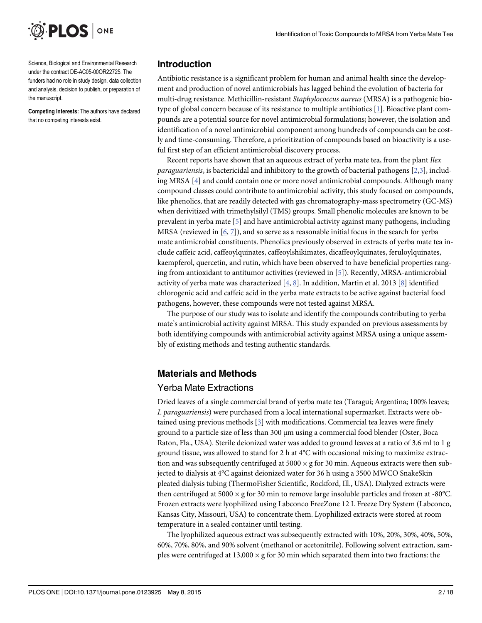<span id="page-3-0"></span>

Science, Biological and Environmental Research under the contract DE-AC05-00OR22725. The funders had no role in study design, data collection and analysis, decision to publish, or preparation of the manuscript.

Competing Interests: The authors have declared that no competing interests exist.

## Introduction

Antibiotic resistance is a significant problem for human and animal health since the development and production of novel antimicrobials has lagged behind the evolution of bacteria for multi-drug resistance. Methicillin-resistant Staphylococcus aureus (MRSA) is a pathogenic biotype of global concern because of its resistance to multiple antibiotics [\[1](#page-18-0)]. Bioactive plant compounds are a potential source for novel antimicrobial formulations; however, the isolation and identification of a novel antimicrobial component among hundreds of compounds can be costly and time-consuming. Therefore, a prioritization of compounds based on bioactivity is a useful first step of an efficient antimicrobial discovery process.

Recent reports have shown that an aqueous extract of yerba mate tea, from the plant Ilex *paraguariensis*, is bactericidal and inhibitory to the growth of bacterial pathogens  $[2,3]$  $[2,3]$ , including MRSA [\[4\]](#page-18-0) and could contain one or more novel antimicrobial compounds. Although many compound classes could contribute to antimicrobial activity, this study focused on compounds, like phenolics, that are readily detected with gas chromatography-mass spectrometry (GC-MS) when derivitized with trimethylsilyl (TMS) groups. Small phenolic molecules are known to be prevalent in yerba mate [[5\]](#page-18-0) and have antimicrobial activity against many pathogens, including MRSA (reviewed in  $[6, 7]$  $[6, 7]$  $[6, 7]$  $[6, 7]$ ), and so serve as a reasonable initial focus in the search for yerba mate antimicrobial constituents. Phenolics previously observed in extracts of yerba mate tea include caffeic acid, caffeoylquinates, caffeoylshikimates, dicaffeoylquinates, feruloylquinates, kaempferol, quercetin, and rutin, which have been observed to have beneficial properties ranging from antioxidant to antitumor activities (reviewed in [\[5](#page-18-0)]). Recently, MRSA-antimicrobial activity of yerba mate was characterized  $[4, 8]$  $[4, 8]$  $[4, 8]$  $[4, 8]$ . In addition, Martin et al. 2013 [\[8\]](#page-18-0) identified chlorogenic acid and caffeic acid in the yerba mate extracts to be active against bacterial food pathogens, however, these compounds were not tested against MRSA.

The purpose of our study was to isolate and identify the compounds contributing to yerba mate's antimicrobial activity against MRSA. This study expanded on previous assessments by both identifying compounds with antimicrobial activity against MRSA using a unique assembly of existing methods and testing authentic standards.

# Materials and Methods

### Yerba Mate Extractions

Dried leaves of a single commercial brand of yerba mate tea (Taragui; Argentina; 100% leaves; I. paraguariensis) were purchased from a local international supermarket. Extracts were obtained using previous methods [\[3\]](#page-18-0) with modifications. Commercial tea leaves were finely ground to a particle size of less than 300 μm using a commercial food blender (Oster, Boca Raton, Fla., USA). Sterile deionized water was added to ground leaves at a ratio of 3.6 ml to 1 g ground tissue, was allowed to stand for 2 h at 4°C with occasional mixing to maximize extraction and was subsequently centrifuged at  $5000 \times$  g for 30 min. Aqueous extracts were then subjected to dialysis at 4°C against deionized water for 36 h using a 3500 MWCO SnakeSkin pleated dialysis tubing (ThermoFisher Scientific, Rockford, Ill., USA). Dialyzed extracts were then centrifuged at 5000  $\times$  g for 30 min to remove large insoluble particles and frozen at -80 $^{\circ}$ C. Frozen extracts were lyophilized using Labconco FreeZone 12 L Freeze Dry System (Labconco, Kansas City, Missouri, USA) to concentrate them. Lyophilized extracts were stored at room temperature in a sealed container until testing.

The lyophilized aqueous extract was subsequently extracted with 10%, 20%, 30%, 40%, 50%, 60%, 70%, 80%, and 90% solvent (methanol or acetonitrile). Following solvent extraction, samples were centrifuged at 13,000  $\times$  g for 30 min which separated them into two fractions: the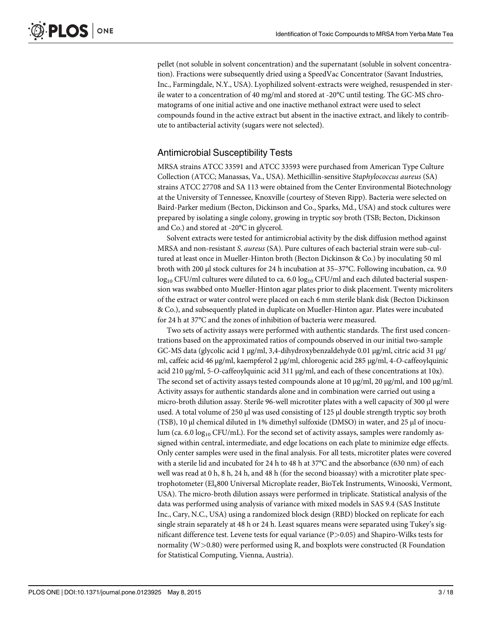pellet (not soluble in solvent concentration) and the supernatant (soluble in solvent concentration). Fractions were subsequently dried using a SpeedVac Concentrator (Savant Industries, Inc., Farmingdale, N.Y., USA). Lyophilized solvent-extracts were weighed, resuspended in sterile water to a concentration of 40 mg/ml and stored at -20°C until testing. The GC-MS chromatograms of one initial active and one inactive methanol extract were used to select compounds found in the active extract but absent in the inactive extract, and likely to contribute to antibacterial activity (sugars were not selected).

# Antimicrobial Susceptibility Tests

MRSA strains ATCC 33591 and ATCC 33593 were purchased from American Type Culture Collection (ATCC; Manassas, Va., USA). Methicillin-sensitive Staphylococcus aureus (SA) strains ATCC 27708 and SA 113 were obtained from the Center Environmental Biotechnology at the University of Tennessee, Knoxville (courtesy of Steven Ripp). Bacteria were selected on Baird-Parker medium (Becton, Dickinson and Co., Sparks, Md., USA) and stock cultures were prepared by isolating a single colony, growing in tryptic soy broth (TSB; Becton, Dickinson and Co.) and stored at -20°C in glycerol.

Solvent extracts were tested for antimicrobial activity by the disk diffusion method against MRSA and non-resistant S. aureus (SA). Pure cultures of each bacterial strain were sub-cultured at least once in Mueller-Hinton broth (Becton Dickinson & Co.) by inoculating 50 ml broth with 200 μl stock cultures for 24 h incubation at 35–37°C. Following incubation, ca. 9.0 log<sub>10</sub> CFU/ml cultures were diluted to ca. 6.0 log<sub>10</sub> CFU/ml and each diluted bacterial suspension was swabbed onto Mueller-Hinton agar plates prior to disk placement. Twenty microliters of the extract or water control were placed on each 6 mm sterile blank disk (Becton Dickinson & Co.), and subsequently plated in duplicate on Mueller-Hinton agar. Plates were incubated for 24 h at 37°C and the zones of inhibition of bacteria were measured.

Two sets of activity assays were performed with authentic standards. The first used concentrations based on the approximated ratios of compounds observed in our initial two-sample GC-MS data (glycolic acid 1 μg/ml, 3,4-dihydroxybenzaldehyde 0.01 μg/ml, citric acid 31 μg/ ml, caffeic acid 46 <sup>μ</sup>g/ml, kaempferol 2 <sup>μ</sup>g/ml, chlorogenic acid 285 <sup>μ</sup>g/ml, 4-O-caffeoylquinic acid 210 <sup>μ</sup>g/ml, 5-O-caffeoylquinic acid 311 <sup>μ</sup>g/ml, and each of these concentrations at 10x). The second set of activity assays tested compounds alone at 10 μg/ml, 20 μg/ml, and 100 μg/ml. Activity assays for authentic standards alone and in combination were carried out using a micro-broth dilution assay. Sterile 96-well microtiter plates with a well capacity of 300 μl were used. A total volume of 250 μl was used consisting of 125 μl double strength tryptic soy broth (TSB), 10 μl chemical diluted in 1% dimethyl sulfoxide (DMSO) in water, and 25 μl of inoculum (ca. 6.0 log<sub>10</sub> CFU/mL). For the second set of activity assays, samples were randomly assigned within central, intermediate, and edge locations on each plate to minimize edge effects. Only center samples were used in the final analysis. For all tests, microtiter plates were covered with a sterile lid and incubated for 24 h to 48 h at 37°C and the absorbance (630 nm) of each well was read at 0 h, 8 h, 24 h, and 48 h (for the second bioassay) with a microtiter plate spectrophotometer (Elx800 Universal Microplate reader, BioTek Instruments, Winooski, Vermont, USA). The micro-broth dilution assays were performed in triplicate. Statistical analysis of the data was performed using analysis of variance with mixed models in SAS 9.4 (SAS Institute Inc., Cary, N.C., USA) using a randomized block design (RBD) blocked on replicate for each single strain separately at 48 h or 24 h. Least squares means were separated using Tukey's significant difference test. Levene tests for equal variance (P>0.05) and Shapiro-Wilks tests for normality (W>0.80) were performed using R, and boxplots were constructed (R Foundation for Statistical Computing, Vienna, Austria).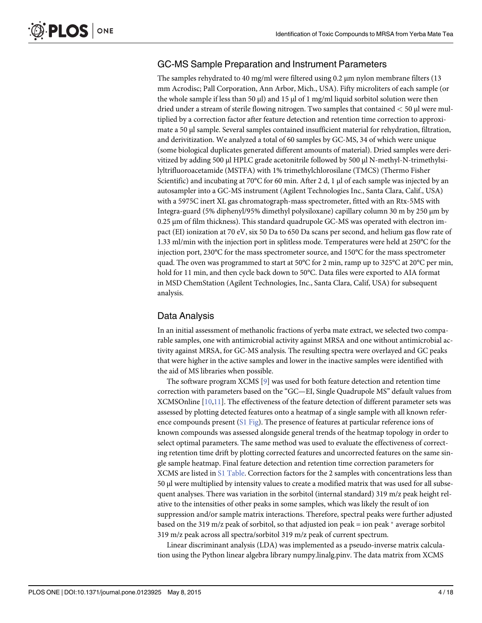# <span id="page-5-0"></span>GC-MS Sample Preparation and Instrument Parameters

The samples rehydrated to 40 mg/ml were filtered using 0.2 μm nylon membrane filters (13 mm Acrodisc; Pall Corporation, Ann Arbor, Mich., USA). Fifty microliters of each sample (or the whole sample if less than 50  $\mu$ ) and 15  $\mu$  of 1 mg/ml liquid sorbitol solution were then dried under a stream of sterile flowing nitrogen. Two samples that contained < 50 μl were multiplied by a correction factor after feature detection and retention time correction to approximate a 50 μl sample. Several samples contained insufficient material for rehydration, filtration, and derivitization. We analyzed a total of 60 samples by GC-MS, 34 of which were unique (some biological duplicates generated different amounts of material). Dried samples were derivitized by adding 500 μl HPLC grade acetonitrile followed by 500 μl N-methyl-N-trimethylsilyltrifluoroacetamide (MSTFA) with 1% trimethylchlorosilane (TMCS) (Thermo Fisher Scientific) and incubating at 70°C for 60 min. After 2 d, 1 μl of each sample was injected by an autosampler into a GC-MS instrument (Agilent Technologies Inc., Santa Clara, Calif., USA) with a 5975C inert XL gas chromatograph-mass spectrometer, fitted with an Rtx-5MS with Integra-guard (5% diphenyl/95% dimethyl polysiloxane) capillary column 30 m by 250 μm by 0.25 μm of film thickness). This standard quadrupole GC-MS was operated with electron impact (EI) ionization at 70 eV, six 50 Da to 650 Da scans per second, and helium gas flow rate of 1.33 ml/min with the injection port in splitless mode. Temperatures were held at 250°C for the injection port, 230°C for the mass spectrometer source, and 150°C for the mass spectrometer quad. The oven was programmed to start at 50°C for 2 min, ramp up to 325°C at 20°C per min, hold for 11 min, and then cycle back down to 50°C. Data files were exported to AIA format in MSD ChemStation (Agilent Technologies, Inc., Santa Clara, Calif, USA) for subsequent analysis.

# Data Analysis

In an initial assessment of methanolic fractions of yerba mate extract, we selected two comparable samples, one with antimicrobial activity against MRSA and one without antimicrobial activity against MRSA, for GC-MS analysis. The resulting spectra were overlayed and GC peaks that were higher in the active samples and lower in the inactive samples were identified with the aid of MS libraries when possible.

The software program XCMS [[9](#page-18-0)] was used for both feature detection and retention time correction with parameters based on the "GC—EI, Single Quadrupole MS" default values from XCMSOnline [[10](#page-18-0),[11](#page-18-0)]. The effectiveness of the feature detection of different parameter sets was assessed by plotting detected features onto a heatmap of a single sample with all known reference compounds present  $(S1$  Fig). The presence of features at particular reference ions of known compounds was assessed alongside general trends of the heatmap topology in order to select optimal parameters. The same method was used to evaluate the effectiveness of correcting retention time drift by plotting corrected features and uncorrected features on the same single sample heatmap. Final feature detection and retention time correction parameters for XCMS are listed in [S1 Table.](#page-17-0) Correction factors for the 2 samples with concentrations less than 50 μl were multiplied by intensity values to create a modified matrix that was used for all subsequent analyses. There was variation in the sorbitol (internal standard) 319 m/z peak height relative to the intensities of other peaks in some samples, which was likely the result of ion suppression and/or sample matrix interactions. Therefore, spectral peaks were further adjusted based on the 319 m/z peak of sorbitol, so that adjusted ion peak = ion peak  $*$  average sorbitol 319 m/z peak across all spectra/sorbitol 319 m/z peak of current spectrum.

Linear discriminant analysis (LDA) was implemented as a pseudo-inverse matrix calculation using the Python linear algebra library numpy.linalg.pinv. The data matrix from XCMS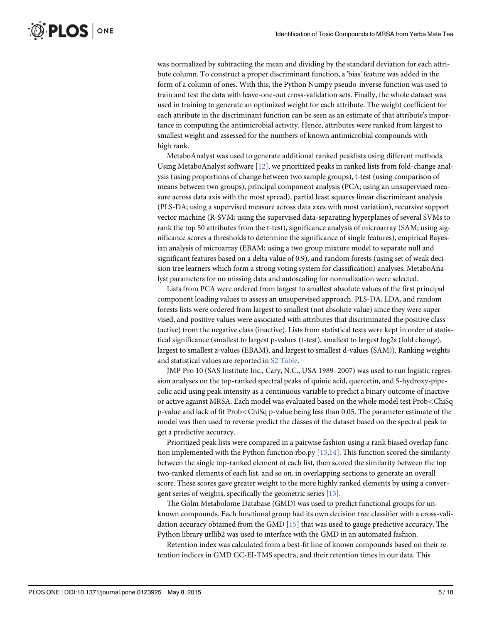<span id="page-6-0"></span>was normalized by subtracting the mean and dividing by the standard deviation for each attribute column. To construct a proper discriminant function, a 'bias' feature was added in the form of a column of ones. With this, the Python Numpy pseudo-inverse function was used to train and test the data with leave-one-out cross-validation sets. Finally, the whole dataset was used in training to generate an optimized weight for each attribute. The weight coefficient for each attribute in the discriminant function can be seen as an estimate of that attribute's importance in computing the antimicrobial activity. Hence, attributes were ranked from largest to smallest weight and assessed for the numbers of known antimicrobial compounds with high rank.

MetaboAnalyst was used to generate additional ranked peaklists using different methods. Using MetaboAnalyst software [[12](#page-18-0)], we prioritized peaks in ranked lists from fold-change analysis (using proportions of change between two sample groups), t-test (using comparison of means between two groups), principal component analysis (PCA; using an unsupervised measure across data axis with the most spread), partial least squares linear discriminant analysis (PLS-DA; using a supervised measure across data axes with most variation), recursive support vector machine (R-SVM; using the supervised data-separating hyperplanes of several SVMs to rank the top 50 attributes from the t-test), significance analysis of microarray (SAM; using significance scores a thresholds to determine the significance of single features), empirical Bayesian analysis of microarray (EBAM; using a two group mixture model to separate null and significant features based on a delta value of 0.9), and random forests (using set of weak decision tree learners which form a strong voting system for classification) analyses. MetaboAnalyst parameters for no missing data and autoscaling for normalization were selected.

Lists from PCA were ordered from largest to smallest absolute values of the first principal component loading values to assess an unsupervised approach. PLS-DA, LDA, and random forests lists were ordered from largest to smallest (not absolute value) since they were supervised, and positive values were associated with attributes that discriminated the positive class (active) from the negative class (inactive). Lists from statistical tests were kept in order of statistical significance (smallest to largest p-values (t-test), smallest to largest log2s (fold change), largest to smallest z-values (EBAM), and largest to smallest d-values (SAM)). Ranking weights and statistical values are reported in [S2 Table.](#page-17-0)

JMP Pro 10 (SAS Institute Inc., Cary, N.C., USA 1989–2007) was used to run logistic regression analyses on the top-ranked spectral peaks of quinic acid, quercetin, and 5-hydroxy-pipecolic acid using peak intensity as a continuous variable to predict a binary outcome of inactive or active against MRSA. Each model was evaluated based on the whole model test Prob<ChiSq p-value and lack of fit Prob<ChiSq p-value being less than 0.05. The parameter estimate of the model was then used to reverse predict the classes of the dataset based on the spectral peak to get a predictive accuracy.

Prioritized peak lists were compared in a pairwise fashion using a rank biased overlap function implemented with the Python function rbo.py  $[13,14]$ . This function scored the similarity between the single top-ranked element of each list, then scored the similarity between the top two-ranked elements of each list, and so on, in overlapping sections to generate an overall score. These scores gave greater weight to the more highly ranked elements by using a convergent series of weights, specifically the geometric series [[13](#page-18-0)].

The Golm Metabolome Database (GMD) was used to predict functional groups for unknown compounds. Each functional group had its own decision tree classifier with a cross-validation accuracy obtained from the GMD [\[15\]](#page-18-0) that was used to gauge predictive accuracy. The Python library urllib2 was used to interface with the GMD in an automated fashion.

Retention index was calculated from a best-fit line of known compounds based on their retention indices in GMD GC-EI-TMS spectra, and their retention times in our data. This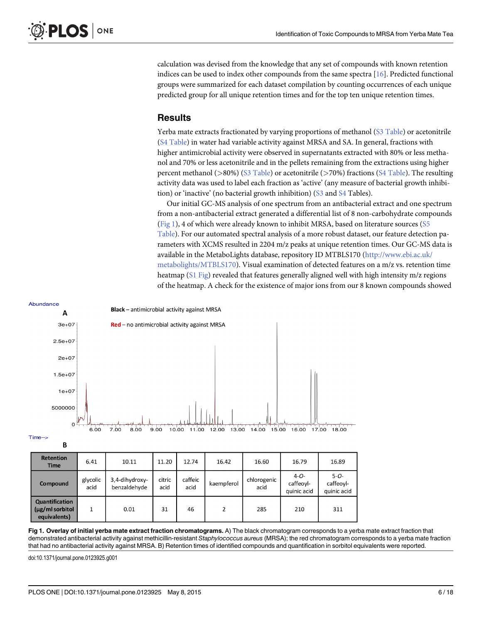<span id="page-7-0"></span>calculation was devised from the knowledge that any set of compounds with known retention indices can be used to index other compounds from the same spectra [[16\]](#page-19-0). Predicted functional groups were summarized for each dataset compilation by counting occurrences of each unique predicted group for all unique retention times and for the top ten unique retention times.

### Results

Yerba mate extracts fractionated by varying proportions of methanol ([S3 Table\)](#page-17-0) or acetonitrile [\(S4 Table](#page-17-0)) in water had variable activity against MRSA and SA. In general, fractions with higher antimicrobial activity were observed in supernatants extracted with 80% or less methanol and 70% or less acetonitrile and in the pellets remaining from the extractions using higher percent methanol ( $>80\%$ ) [\(S3 Table](#page-17-0)) or acetonitrile ( $>70\%$ ) fractions [\(S4 Table](#page-17-0)). The resulting activity data was used to label each fraction as 'active' (any measure of bacterial growth inhibition) or 'inactive' (no bacterial growth inhibition) ( $S_3$  and  $S_4$  Tables).

Our initial GC-MS analysis of one spectrum from an antibacterial extract and one spectrum from a non-antibacterial extract generated a differential list of 8 non-carbohydrate compounds (Fig 1), 4 of which were already known to inhibit MRSA, based on literature sources ([S5](#page-17-0) [Table](#page-17-0)). For our automated spectral analysis of a more robust dataset, our feature detection parameters with XCMS resulted in 2204 m/z peaks at unique retention times. Our GC-MS data is available in the MetaboLights database, repository ID MTBLS170 ([http://www.ebi.ac.uk/](http://www.ebi.ac.uk/metabolights/MTBLS170) [metabolights/MTBLS170\)](http://www.ebi.ac.uk/metabolights/MTBLS170). Visual examination of detected features on a m/z vs. retention time heatmap [\(S1 Fig](#page-17-0)) revealed that features generally aligned well with high intensity m/z regions of the heatmap. A check for the existence of major ions from our 8 known compounds showed



| <b>Retention</b><br><b>Time</b>                          | 6.41             | 10.11                          | 11.20          | 12.74           | 16.42      | 16.60               | 16.79                                 | 16.89                                 |
|----------------------------------------------------------|------------------|--------------------------------|----------------|-----------------|------------|---------------------|---------------------------------------|---------------------------------------|
| Compound                                                 | glycolic<br>acid | 3,4-dihydroxy-<br>benzaldehyde | citric<br>acid | caffeic<br>acid | kaempferol | chlorogenic<br>acid | $4 - 0 -$<br>caffeoyl-<br>quinic acid | $5 - 0 -$<br>caffeoyl-<br>quinic acid |
| <b>Quantification</b><br>(μg/ml sorbitol<br>equivalents) |                  | 0.01                           | 31             | 46              | 2          | 285                 | 210                                   | 311                                   |

Fig 1. Overlay of initial yerba mate extract fraction chromatograms. A) The black chromatogram corresponds to a yerba mate extract fraction that demonstrated antibacterial activity against methicillin-resistant Staphylococcus aureus (MRSA); the red chromatogram corresponds to a yerba mate fraction that had no antibacterial activity against MRSA. B) Retention times of identified compounds and quantification in sorbitol equivalents were reported.

doi:10.1371/journal.pone.0123925.g001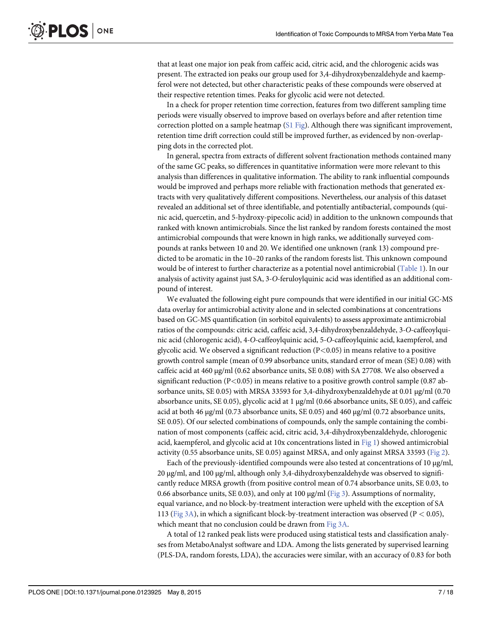<span id="page-8-0"></span>that at least one major ion peak from caffeic acid, citric acid, and the chlorogenic acids was present. The extracted ion peaks our group used for 3,4-dihydroxybenzaldehyde and kaempferol were not detected, but other characteristic peaks of these compounds were observed at their respective retention times. Peaks for glycolic acid were not detected.

In a check for proper retention time correction, features from two different sampling time periods were visually observed to improve based on overlays before and after retention time correction plotted on a sample heatmap  $(S1$  Fig). Although there was significant improvement, retention time drift correction could still be improved further, as evidenced by non-overlapping dots in the corrected plot.

In general, spectra from extracts of different solvent fractionation methods contained many of the same GC peaks, so differences in quantitative information were more relevant to this analysis than differences in qualitative information. The ability to rank influential compounds would be improved and perhaps more reliable with fractionation methods that generated extracts with very qualitatively different compositions. Nevertheless, our analysis of this dataset revealed an additional set of three identifiable, and potentially antibacterial, compounds (quinic acid, quercetin, and 5-hydroxy-pipecolic acid) in addition to the unknown compounds that ranked with known antimicrobials. Since the list ranked by random forests contained the most antimicrobial compounds that were known in high ranks, we additionally surveyed compounds at ranks between 10 and 20. We identified one unknown (rank 13) compound predicted to be aromatic in the 10–20 ranks of the random forests list. This unknown compound would be of interest to further characterize as a potential novel antimicrobial [\(Table 1](#page-9-0)). In our analysis of activity against just SA, 3-O-feruloylquinic acid was identified as an additional compound of interest.

We evaluated the following eight pure compounds that were identified in our initial GC-MS data overlay for antimicrobial activity alone and in selected combinations at concentrations based on GC-MS quantification (in sorbitol equivalents) to assess approximate antimicrobial ratios of the compounds: citric acid, caffeic acid, 3,4-dihydroxybenzaldehyde, 3-O-caffeoylquinic acid (chlorogenic acid), 4-O-caffeoylquinic acid, 5-O-caffeoylquinic acid, kaempferol, and glycolic acid. We observed a significant reduction  $(P<0.05)$  in means relative to a positive growth control sample (mean of 0.99 absorbance units, standard error of mean (SE) 0.08) with caffeic acid at 460 μg/ml (0.62 absorbance units, SE 0.08) with SA 27708. We also observed a significant reduction ( $P<0.05$ ) in means relative to a positive growth control sample (0.87 absorbance units, SE 0.05) with MRSA 33593 for 3,4-dihydroxybenzaldehyde at 0.01 μg/ml (0.70 absorbance units, SE 0.05), glycolic acid at 1 μg/ml (0.66 absorbance units, SE 0.05), and caffeic acid at both 46 μg/ml (0.73 absorbance units, SE 0.05) and 460 μg/ml (0.72 absorbance units, SE 0.05). Of our selected combinations of compounds, only the sample containing the combination of most components (caffeic acid, citric acid, 3,4-dihydroxybenzaldehyde, chlorogenic acid, kaempferol, and glycolic acid at 10x concentrations listed in [Fig 1\)](#page-7-0) showed antimicrobial activity (0.55 absorbance units, SE 0.05) against MRSA, and only against MRSA 33593 [\(Fig 2\)](#page-10-0).

Each of the previously-identified compounds were also tested at concentrations of 10 μg/ml, 20 μg/ml, and 100 μg/ml, although only 3,4-dihydroxybenzaldehyde was observed to significantly reduce MRSA growth (from positive control mean of 0.74 absorbance units, SE 0.03, to 0.66 absorbance units, SE 0.03), and only at 100  $\mu$ g/ml [\(Fig 3\)](#page-11-0). Assumptions of normality, equal variance, and no block-by-treatment interaction were upheld with the exception of SA 113 ([Fig 3A](#page-11-0)), in which a significant block-by-treatment interaction was observed (P < 0.05), which meant that no conclusion could be drawn from [Fig 3A](#page-11-0).

A total of 12 ranked peak lists were produced using statistical tests and classification analyses from MetaboAnalyst software and LDA. Among the lists generated by supervised learning (PLS-DA, random forests, LDA), the accuracies were similar, with an accuracy of 0.83 for both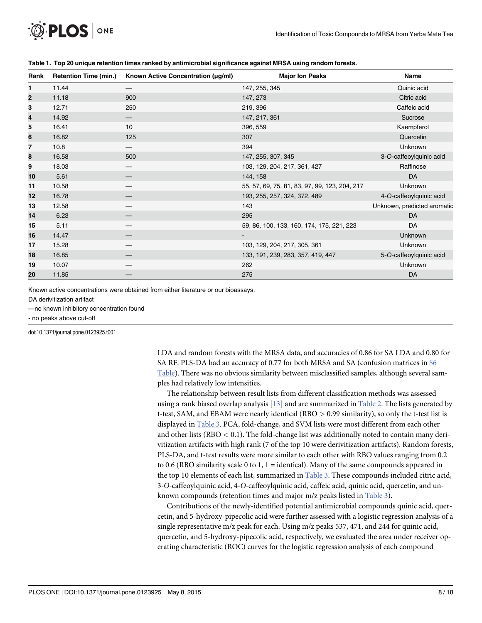| Rank | <b>Retention Time (min.)</b> | Known Active Concentration (µg/ml) | <b>Major Ion Peaks</b>                        | Name                        |
|------|------------------------------|------------------------------------|-----------------------------------------------|-----------------------------|
| 1.   | 11.44                        |                                    | 147, 255, 345                                 | Quinic acid                 |
| 2    | 11.18                        | 900                                | 147, 273                                      | Citric acid                 |
| 3    | 12.71                        | 250                                | 219, 396                                      | Caffeic acid                |
| 4    | 14.92                        |                                    | 147, 217, 361                                 | Sucrose                     |
| 5    | 16.41                        | 10                                 | 396, 559                                      | Kaempferol                  |
| 6    | 16.82                        | 125                                | 307                                           | Quercetin                   |
| 7    | 10.8                         |                                    | 394                                           | Unknown                     |
| 8    | 16.58                        | 500                                | 147, 255, 307, 345                            | 3-O-caffeoylquinic acid     |
| 9    | 18.03                        |                                    | 103, 129, 204, 217, 361, 427                  | Raffinose                   |
| 10   | 5.61                         |                                    | 144, 158                                      | <b>DA</b>                   |
| 11   | 10.58                        |                                    | 55, 57, 69, 75, 81, 83, 97, 99, 123, 204, 217 | Unknown                     |
| 12   | 16.78                        |                                    | 193, 255, 257, 324, 372, 489                  | 4-O-caffeoylquinic acid     |
| 13   | 12.58                        |                                    | 143                                           | Unknown, predicted aromatic |
| 14   | 6.23                         |                                    | 295                                           | DA                          |
| 15   | 5.11                         |                                    | 59, 86, 100, 133, 160, 174, 175, 221, 223     | DA                          |
| 16   | 14.47                        |                                    |                                               | Unknown                     |
| 17   | 15.28                        |                                    | 103, 129, 204, 217, 305, 361                  | Unknown                     |
| 18   | 16.85                        |                                    | 133, 191, 239, 283, 357, 419, 447             | 5-O-caffeoylquinic acid     |
| 19   | 10.07                        |                                    | 262                                           | Unknown                     |
| 20   | 11.85                        |                                    | 275                                           | DA                          |

#### <span id="page-9-0"></span>[Table 1.](#page-8-0) Top 20 unique retention times ranked by antimicrobial significance against MRSA using random forests.

Known active concentrations were obtained from either literature or our bioassays.

DA derivitization artifact

—no known inhibitory concentration found

- no peaks above cut-off

doi:10.1371/journal.pone.0123925.t001

LDA and random forests with the MRSA data, and accuracies of 0.86 for SA LDA and 0.80 for SA RF. PLS-DA had an accuracy of 0.77 for both MRSA and SA (confusion matrices in [S6](#page-17-0) [Table](#page-17-0)). There was no obvious similarity between misclassified samples, although several samples had relatively low intensities.

The relationship between result lists from different classification methods was assessed using a rank biased overlap analysis  $[13]$  $[13]$  $[13]$  and are summarized in [Table 2](#page-12-0). The lists generated by t-test, SAM, and EBAM were nearly identical (RBO > 0.99 similarity), so only the t-test list is displayed in [Table 3](#page-13-0). PCA, fold-change, and SVM lists were most different from each other and other lists ( $RBO < 0.1$ ). The fold-change list was additionally noted to contain many derivitization artifacts with high rank (7 of the top 10 were derivitization artifacts). Random forests, PLS-DA, and t-test results were more similar to each other with RBO values ranging from 0.2 to 0.6 (RBO similarity scale 0 to 1, 1 = identical). Many of the same compounds appeared in the top 10 elements of each list, summarized in [Table 3.](#page-13-0) These compounds included citric acid, <sup>3</sup>-O-caffeoylquinic acid, 4-O-caffeoylquinic acid, caffeic acid, quinic acid, quercetin, and unknown compounds (retention times and major m/z peaks listed in [Table 3](#page-13-0)).

Contributions of the newly-identified potential antimicrobial compounds quinic acid, quercetin, and 5-hydroxy-pipecolic acid were further assessed with a logistic regression analysis of a single representative m/z peak for each. Using m/z peaks 537, 471, and 244 for quinic acid, quercetin, and 5-hydroxy-pipecolic acid, respectively, we evaluated the area under receiver operating characteristic (ROC) curves for the logistic regression analysis of each compound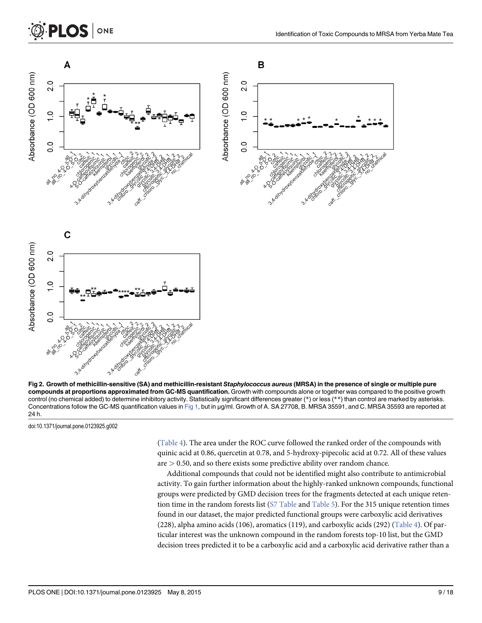<span id="page-10-0"></span>

[Fig 2. G](#page-8-0)rowth of methicillin-sensitive (SA) and methicillin-resistant Staphylococcus aureus (MRSA) in the presence of single or multiple pure compounds at proportions approximated from GC-MS quantification. Growth with compounds alone or together was compared to the positive growth control (no chemical added) to determine inhibitory activity. Statistically significant differences greater (\*) or less (\*\*) than control are marked by asterisks. Concentrations follow the GC-MS quantification values in [Fig 1,](#page-7-0) but in µg/ml. Growth of A. SA 27708, B. MRSA 35591, and C. MRSA 35593 are reported at 24 h.

doi:10.1371/journal.pone.0123925.g002

[\(Table 4\)](#page-15-0). The area under the ROC curve followed the ranked order of the compounds with quinic acid at 0.86, quercetin at 0.78, and 5-hydroxy-pipecolic acid at 0.72. All of these values  $are$   $>$  0.50, and so there exists some predictive ability over random chance.

Additional compounds that could not be identified might also contribute to antimicrobial activity. To gain further information about the highly-ranked unknown compounds, functional groups were predicted by GMD decision trees for the fragments detected at each unique retention time in the random forests list [\(S7 Table](#page-17-0) and [Table 5\)](#page-15-0). For the 315 unique retention times found in our dataset, the major predicted functional groups were carboxylic acid derivatives (228), alpha amino acids (106), aromatics (119), and carboxylic acids (292) [\(Table 4\)](#page-15-0). Of particular interest was the unknown compound in the random forests top-10 list, but the GMD decision trees predicted it to be a carboxylic acid and a carboxylic acid derivative rather than a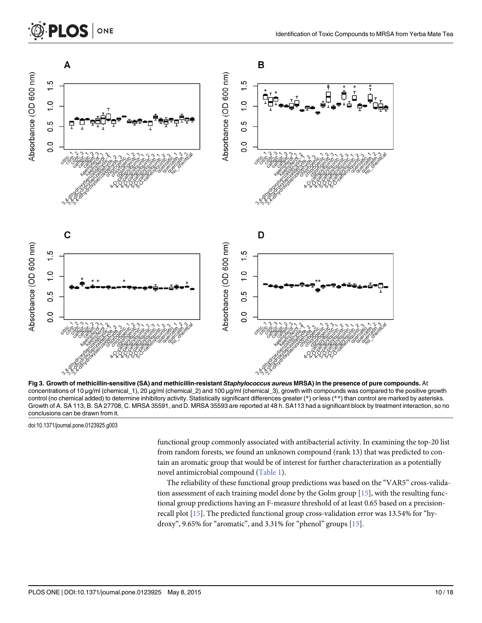<span id="page-11-0"></span>

[Fig 3. G](#page-8-0)rowth of methicillin-sensitive (SA) and methicillin-resistant Staphylococcus aureus MRSA) in the presence of pure compounds. At concentrations of 10 μg/ml (chemical\_1), 20 μg/ml (chemical\_2) and 100 μg/ml (chemical\_3), growth with compounds was compared to the positive growth control (no chemical added) to determine inhibitory activity. Statistically significant differences greater (\*) or less (\*\*) than control are marked by asterisks. Growth of A. SA 113, B. SA 27708, C. MRSA 35591, and D. MRSA 35593 are reported at 48 h. SA113 had a significant block by treatment interaction, so no conclusions can be drawn from it.

doi:10.1371/journal.pone.0123925.g003

functional group commonly associated with antibacterial activity. In examining the top-20 list from random forests, we found an unknown compound (rank 13) that was predicted to contain an aromatic group that would be of interest for further characterization as a potentially novel antimicrobial compound ([Table 1\)](#page-9-0).

The reliability of these functional group predictions was based on the "VAR5" cross-validation assessment of each training model done by the Golm group [[15](#page-18-0)], with the resulting functional group predictions having an F-measure threshold of at least 0.65 based on a precisionrecall plot [[15\]](#page-18-0). The predicted functional group cross-validation error was 13.54% for "hydroxy", 9.65% for "aromatic", and 3.31% for "phenol" groups  $[15]$ .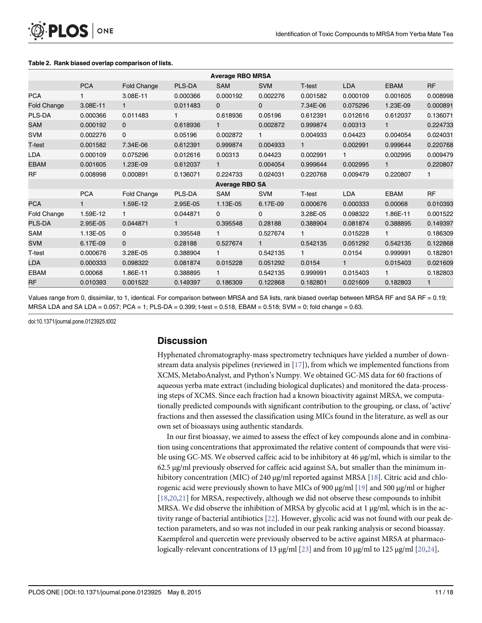|                    |              |              |              | <b>Average RBO MRSA</b> |              |              |              |              |              |
|--------------------|--------------|--------------|--------------|-------------------------|--------------|--------------|--------------|--------------|--------------|
|                    | <b>PCA</b>   | Fold Change  | PLS-DA       | <b>SAM</b>              | <b>SVM</b>   | T-test       | <b>LDA</b>   | <b>EBAM</b>  | <b>RF</b>    |
| <b>PCA</b>         |              | 3.08E-11     | 0.000366     | 0.000192                | 0.002276     | 0.001582     | 0.000109     | 0.001605     | 0.008998     |
| <b>Fold Change</b> | 3.08E-11     | $\mathbf{1}$ | 0.011483     | $\Omega$                | $\Omega$     | 7.34E-06     | 0.075296     | 1.23E-09     | 0.000891     |
| PLS-DA             | 0.000366     | 0.011483     |              | 0.618936                | 0.05196      | 0.612391     | 0.012616     | 0.612037     | 0.136071     |
| SAM                | 0.000192     | $\mathbf{0}$ | 0.618936     | $\mathbf{1}$            | 0.002872     | 0.999874     | 0.00313      | 1            | 0.224733     |
| <b>SVM</b>         | 0.002276     | $\mathbf 0$  | 0.05196      | 0.002872                | $\mathbf{1}$ | 0.004933     | 0.04423      | 0.004054     | 0.024031     |
| T-test             | 0.001582     | 7.34E-06     | 0.612391     | 0.999874                | 0.004933     | $\mathbf{1}$ | 0.002991     | 0.999644     | 0.220768     |
| LDA                | 0.000109     | 0.075296     | 0.012616     | 0.00313                 | 0.04423      | 0.002991     | $\mathbf{1}$ | 0.002995     | 0.009479     |
| <b>EBAM</b>        | 0.001605     | 1.23E-09     | 0.612037     | $\mathbf{1}$            | 0.004054     | 0.999644     | 0.002995     | $\mathbf{1}$ | 0.220807     |
| <b>RF</b>          | 0.008998     | 0.000891     | 0.136071     | 0.224733                | 0.024031     | 0.220768     | 0.009479     | 0.220807     | $\mathbf{1}$ |
|                    |              |              |              | <b>Average RBO SA</b>   |              |              |              |              |              |
|                    | <b>PCA</b>   | Fold Change  | PLS-DA       | <b>SAM</b>              | <b>SVM</b>   | T-test       | <b>LDA</b>   | <b>EBAM</b>  | <b>RF</b>    |
| <b>PCA</b>         | $\mathbf{1}$ | 1.59E-12     | 2.95E-05     | 1.13E-05                | 6.17E-09     | 0.000676     | 0.000333     | 0.00068      | 0.010393     |
| Fold Change        | 1.59E-12     | $\mathbf{1}$ | 0.044871     | $\mathbf 0$             | $\mathbf 0$  | 3.28E-05     | 0.098322     | 1.86E-11     | 0.001522     |
| <b>PLS-DA</b>      | 2.95E-05     | 0.044871     | $\mathbf{1}$ | 0.395548                | 0.28188      | 0.388904     | 0.081874     | 0.388895     | 0.149397     |
| SAM                | 1.13E-05     | $\Omega$     | 0.395548     | 1.                      | 0.527674     | $\mathbf{1}$ | 0.015228     | $\mathbf{1}$ | 0.186309     |
| <b>SVM</b>         | 6.17E-09     | $\mathbf{0}$ | 0.28188      | 0.527674                | 1            | 0.542135     | 0.051292     | 0.542135     | 0.122868     |
| T-test             | 0.000676     | 3.28E-05     | 0.388904     |                         | 0.542135     | $\mathbf{1}$ | 0.0154       | 0.999991     | 0.182801     |
| <b>LDA</b>         | 0.000333     | 0.098322     | 0.081874     | 0.015228                | 0.051292     | 0.0154       | $\mathbf{1}$ | 0.015403     | 0.021609     |
| <b>EBAM</b>        | 0.00068      | 1.86E-11     | 0.388895     | 1.                      | 0.542135     | 0.999991     | 0.015403     | 1            | 0.182803     |
| <b>RF</b>          | 0.010393     | 0.001522     | 0.149397     | 0.186309                | 0.122868     | 0.182801     | 0.021609     | 0.182803     | $\mathbf{1}$ |

#### <span id="page-12-0"></span>[Table 2.](#page-9-0) Rank biased overlap comparison of lists.

Values range from 0, dissimilar, to 1, identical. For comparison between MRSA and SA lists, rank biased overlap between MRSA RF and SA RF = 0.19; MRSA LDA and SA LDA = 0.057; PCA = 1; PLS-DA = 0.399; t-test = 0.518, EBAM = 0.518; SVM = 0; fold change = 0.63.

doi:10.1371/journal.pone.0123925.t002

## **Discussion**

Hyphenated chromatography-mass spectrometry techniques have yielded a number of downstream data analysis pipelines (reviewed in [\[17\]](#page-19-0)), from which we implemented functions from XCMS, MetaboAnalyst, and Python's Numpy. We obtained GC-MS data for 60 fractions of aqueous yerba mate extract (including biological duplicates) and monitored the data-processing steps of XCMS. Since each fraction had a known bioactivity against MRSA, we computationally predicted compounds with significant contribution to the grouping, or class, of 'active' fractions and then assessed the classification using MICs found in the literature, as well as our own set of bioassays using authentic standards.

In our first bioassay, we aimed to assess the effect of key compounds alone and in combination using concentrations that approximated the relative content of compounds that were visible using GC-MS. We observed caffeic acid to be inhibitory at 46 μg/ml, which is similar to the 62.5 μg/ml previously observed for caffeic acid against SA, but smaller than the minimum in-hibitory concentration (MIC) of 240 μg/ml reported against MRSA [[18](#page-19-0)]. Citric acid and chlo-rogenic acid were previously shown to have MICs of 900 μg/ml [[19](#page-19-0)] and 500 μg/ml or higher [\[18,20,21\]](#page-19-0) for MRSA, respectively, although we did not observe these compounds to inhibit MRSA. We did observe the inhibition of MRSA by glycolic acid at 1  $\mu$ g/ml, which is in the activity range of bacterial antibiotics [[22\]](#page-19-0). However, glycolic acid was not found with our peak detection parameters, and so was not included in our peak ranking analysis or second bioassay. Kaempferol and quercetin were previously observed to be active against MRSA at pharmacologically-relevant concentrations of 13 μg/ml [[23\]](#page-19-0) and from 10 μg/ml to 125 μg/ml [[20](#page-19-0),[24](#page-19-0)],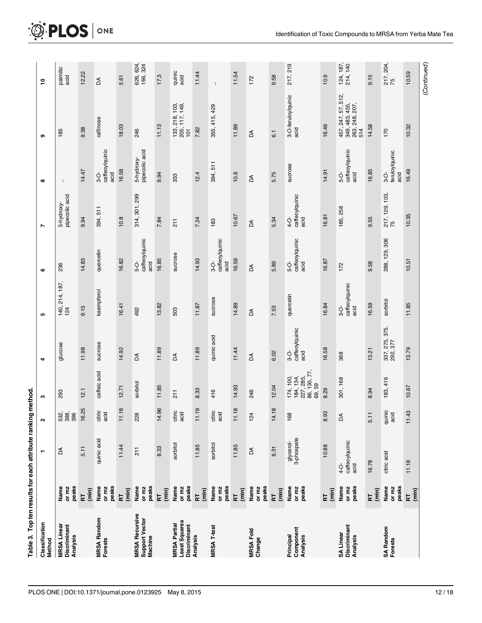<span id="page-13-0"></span>

|                                                      |                         | Table 3. Top ten results for each attribute ranking |                                     | method                                                               |                                |                                |                                |                                |                                         |                                                                        |                       |
|------------------------------------------------------|-------------------------|-----------------------------------------------------|-------------------------------------|----------------------------------------------------------------------|--------------------------------|--------------------------------|--------------------------------|--------------------------------|-----------------------------------------|------------------------------------------------------------------------|-----------------------|
| Classification<br>Method                             |                         |                                                     | $\sim$                              | c                                                                    | 4                              | <b>S</b>                       | ဖ                              | Z                              | $\infty$                                | თ                                                                      | ۽                     |
| <b>MRSA Linear</b><br>Discriminant<br>Analysis       | peaks<br>or mz<br>Name  | Z                                                   | က် စွဲ စွ<br>ကိ စွဲ စွ              | 293                                                                  | glucose                        | 140, 214, 187,<br>124          | 236                            | 5-hydroxy-<br>pipecolic acid   | $\mathbf{I}$                            | 185                                                                    | palmitic<br>acid      |
|                                                      | $\overline{m}$<br>눈     | 5.11                                                | ïΰ<br>16.2                          | 12.1                                                                 | 11.98                          | 9.15                           | 14.83                          | 9.94                           | 14.47                                   | 9.38                                                                   | 12.22                 |
| <b>MRSA Random</b><br><b>Forests</b>                 | peaks<br>Name<br>or mz  | quinic acid                                         | citric<br>acid                      | caffeic acid                                                         | sucrose                        | kaempferol                     | quercetin                      | 394, 511                       | caffeoylquinic<br>$\frac{1}{3}$<br>acid | raffinose                                                              | ă                     |
|                                                      | (min)<br>RT             | 11.44                                               | $\infty$<br>$\overline{11}$         | 12.71                                                                | 14.92                          | 16.41                          | 16.82                          | 10.8                           | 16.58                                   | 18.03                                                                  | 5.61                  |
| <b>MRSA Recursive</b><br>Support Vector<br>Machine   | peaks<br>Name<br>or mz  | $\frac{1}{2}$                                       | 228                                 | sorbitol                                                             | Z                              | 492                            | caffeoylquinic<br>acid<br>ပုံ  | 314, 301, 299                  | 5-hydroxy-<br>pipecolic acid            | 246                                                                    | 626, 624,<br>166, 324 |
|                                                      | (min)<br>RT             | 8.33                                                | $\overline{Q}$<br>14.9              | 11.85                                                                | 11.89                          | 13.82                          | 16.85                          | 7.84                           | 9.94                                    | 11.13                                                                  | 17.3                  |
| Least Squares<br><b>MRSA Partial</b><br>Discriminant | peaks<br>Name<br>or mz  | sorbitol                                            | citric<br>acid                      | 211                                                                  | ă                              | 503                            | sucrose                        | 211                            | 333                                     | $\begin{array}{c} 133, 218, 103, \\ 205, 117, 149, \\ 101 \end{array}$ | quinic<br>acid        |
| Analysis                                             | (min)<br>눈              | 11.85                                               | $\mathbf{\circ}$<br>$\overline{11}$ | 8.33                                                                 | 11.89                          | 11.87                          | 14.93                          | 7.24                           | 12.4                                    | 7.82                                                                   | 11.44                 |
| <b>MRSA T-test</b>                                   | peaks<br>Name<br>or mz  | sorbitol                                            | citric<br>acid                      | 416                                                                  | quinic acid                    | sucrose                        | caffeoylquinic<br>acid<br>\$   | 183                            | 394, 511                                | 355, 415, 429                                                          |                       |
|                                                      | (min)<br>$\overline{R}$ | 11.85                                               | $\infty$<br>$\overline{11}$         | 14.93                                                                | 11.44                          | 14.89                          | 16.59                          | 10.67                          | 10.8                                    | 11.89                                                                  | 11.54                 |
| <b>MRSA Fold</b><br>Change                           | peaks<br>Name<br>or mz  | ă                                                   | 124                                 | 246                                                                  | Z                              | Z                              | Z                              | Z                              | Z                                       | Z                                                                      | 172                   |
|                                                      | (min)<br>RT             | 6.31                                                | $\infty$<br>14.1                    | 12.04                                                                | 6.02                           | 7.53                           | 5.89                           | 5.34                           | 5.75                                    | 6.1                                                                    | 9.58                  |
| Component<br>Analysis<br>Principal                   | peaks<br>Name<br>or mz  | glycerol-<br>3-phospate                             | 168                                 | $174, 100,$<br>$184, 134,$<br>$227, 285,$<br>$86, 130, 77,$<br>69,59 | 3-O-<br>caffeoylquinic<br>acid | quercetin                      | caffeoylquinic<br>acid<br>5-O- | 4-O-<br>caffeoylquinic<br>acid | sucrose                                 | 3-O-feruloylquinic<br>acid                                             | 217, 219              |
|                                                      | (min)<br>료              | 10.88                                               | 8.93                                | 8.29                                                                 | 16.58                          | 16.84                          | 16.87                          | 16.81                          | 14.91                                   | 16.49                                                                  | 10.9                  |
| SA Linear<br>Discriminant<br>Analysis                | peaks<br>Name<br>or mz  | caffeoylquinic<br>acid<br>$\frac{1}{2}$             | Z                                   | 301, 168                                                             | 368                            | caffeoylquinic<br>acid<br>$-6$ | 172                            | 185, 258                       | caffeoylquinic<br>acid<br>$\frac{1}{5}$ | 457, 247, 57, 512,<br>349, 483, 455,<br>263, 248, 207,<br>514          | 124, 187, 214, 140    |
|                                                      | (min)<br>F              | 16.78                                               | 5.11                                | 8.94                                                                 | 13.21                          | 16.59                          | 9.58                           | 9.55                           | 16.85                                   | 14.58                                                                  | 9.15                  |
| <b>SA Random</b><br>Forests                          | peaks<br>Name<br>or mz  | citric acid                                         | quinic<br>acid                      | 183, 416                                                             | 337, 275, 375,<br>292, 377     | sorbitol                       | 288, 129, 306                  | 217, 129, 103,<br>75           | feruloylquinic<br>acid<br>$\frac{1}{3}$ | 170                                                                    | 217, 204,<br>75       |
|                                                      | $(\min)$<br>료           | 11.18                                               | 11.43                               | 10.67                                                                | 13.79                          | 11.85                          | 10.51                          | 10.35                          | 16.49                                   | 10.32                                                                  | 10.59                 |
|                                                      |                         |                                                     |                                     |                                                                      |                                |                                |                                |                                |                                         |                                                                        | (Continued)           |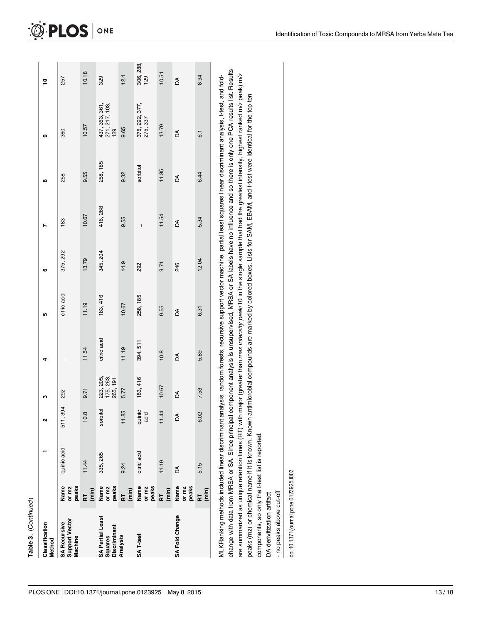| 416, 268<br>11.54<br>10.67<br>9.55<br>183<br>Z<br>$\overline{1}$<br>375, 292<br>345, 204<br>13.79<br>14.9<br>246<br>9.71<br>292<br>ဖ<br>citric acid<br>183, 416<br>258, 185<br>11.19<br>10.67<br>9.55<br>Z<br>ယ<br>citric acid<br>394, 511<br>11.54<br>11.19<br>10.8<br>Z<br>$\begin{array}{c} \hline \end{array}$<br>d<br>223, 205,<br>175, 263,<br>265, 191<br>183, 416<br>10.67<br>5.77<br>9.71<br>292<br>Á<br>c<br>394<br>sorbitol<br>quinic<br>acid<br>11.85<br>11.44<br>œ<br>Z<br>$\frac{1}{51}$<br>ö.<br>2<br>quinic acid<br>citric acid<br>335, 265<br>11.19<br>11.44<br>9.24<br>Z<br>peaks<br>peaks<br>Name<br>or mz<br>peaks<br>peaks<br>Name<br>Name<br>Name<br>or mz<br>or mz<br>or mz<br>(min)<br>(min)<br>(min)<br>RT.<br>눈<br>$\overline{R}$<br>SA Fold Change<br><b>SA Partial Least</b><br>Support Vector<br><b>SA Recursive</b><br>Classification<br>Discriminant<br>SA <sub>T-test</sub><br>Squares<br>Analysis<br>Machine<br>Method |  |  |  |  |          |                                         |                  |
|---------------------------------------------------------------------------------------------------------------------------------------------------------------------------------------------------------------------------------------------------------------------------------------------------------------------------------------------------------------------------------------------------------------------------------------------------------------------------------------------------------------------------------------------------------------------------------------------------------------------------------------------------------------------------------------------------------------------------------------------------------------------------------------------------------------------------------------------------------------------------------------------------------------------------------------------------------|--|--|--|--|----------|-----------------------------------------|------------------|
|                                                                                                                                                                                                                                                                                                                                                                                                                                                                                                                                                                                                                                                                                                                                                                                                                                                                                                                                                         |  |  |  |  | ထ        | თ                                       | Ş                |
|                                                                                                                                                                                                                                                                                                                                                                                                                                                                                                                                                                                                                                                                                                                                                                                                                                                                                                                                                         |  |  |  |  | 258      | 360                                     | 257              |
|                                                                                                                                                                                                                                                                                                                                                                                                                                                                                                                                                                                                                                                                                                                                                                                                                                                                                                                                                         |  |  |  |  | 9.55     | 10.57                                   | 10.18            |
|                                                                                                                                                                                                                                                                                                                                                                                                                                                                                                                                                                                                                                                                                                                                                                                                                                                                                                                                                         |  |  |  |  | 258, 185 | 437, 363, 361,<br>271, 217, 103,<br>129 | 329              |
|                                                                                                                                                                                                                                                                                                                                                                                                                                                                                                                                                                                                                                                                                                                                                                                                                                                                                                                                                         |  |  |  |  | 9.32     | 9.65                                    | 12.4             |
|                                                                                                                                                                                                                                                                                                                                                                                                                                                                                                                                                                                                                                                                                                                                                                                                                                                                                                                                                         |  |  |  |  | sorbitol | 375, 292, 377,<br>275, 337              | 306, 288,<br>129 |
|                                                                                                                                                                                                                                                                                                                                                                                                                                                                                                                                                                                                                                                                                                                                                                                                                                                                                                                                                         |  |  |  |  | 11.85    | 13.79                                   | 10.51            |
|                                                                                                                                                                                                                                                                                                                                                                                                                                                                                                                                                                                                                                                                                                                                                                                                                                                                                                                                                         |  |  |  |  | Z        | Z                                       | Z                |
| 5.34<br>12.04<br>6.31<br>5.89<br>7.53<br>6.02<br>5.15<br>$(\min)$<br>F                                                                                                                                                                                                                                                                                                                                                                                                                                                                                                                                                                                                                                                                                                                                                                                                                                                                                  |  |  |  |  | 6.44     | $\overline{6}$                          | 8.94             |

change with data from MRSA or SA. Since principal component analysis is unsupervised, MRSA or SA labels have no influence and so there is only one PCA results list. Results change with data from MRSA or SA. Since principal component analysis is unsupervised, MRSA or SA labels have no influence and so there is only one PCA results list. Results are summarized as unique retention times (RT) with major (greater than max intensity peak/10 in the single sample that had the greatest intensity, highest ranked m/z peak) m/z are summarized as unique retention times (RT) with major (greater than max intensity peak/10 in the single sample that had the greatest intensity, highest ranked m/z peak) m/z peaks (mz) or chemical name if it is known. Known antimicrobial compounds are marked by colored boxes. Lists for SAM, EBAM, and t-test were identical for the top ten peaks (mz) or chemical name if it is known. Known antimicrobial compounds are marked by colored boxes. Lists for SAM, EBAM, and t-test were identical for the top ten components, so only the t-test list is reported. components, so only the t-test list is reported.

DA derivitization artifact DA derivitization artifact

- no peaks above cut-off - no peaks above cut-off

doi:10.1371/journal.pone.0123925.t003 doi:10.1371/journal.pone.0123925.t003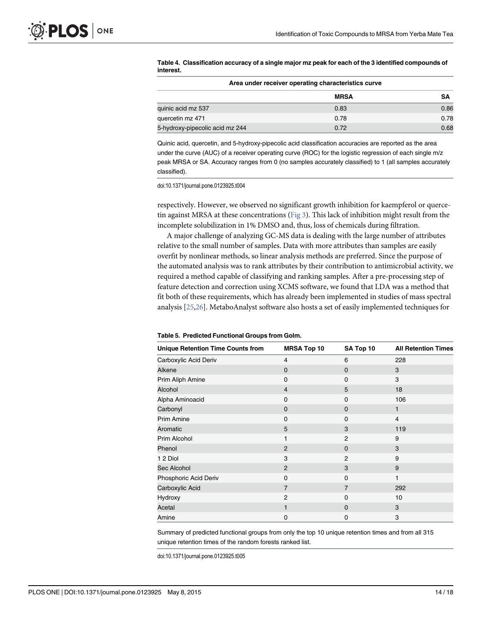<span id="page-15-0"></span>

|           | Table 4. Classification accuracy of a single major mz peak for each of the 3 identified compounds of |
|-----------|------------------------------------------------------------------------------------------------------|
| interest. |                                                                                                      |

|                                 | Area under receiver operating characteristics curve |      |
|---------------------------------|-----------------------------------------------------|------|
|                                 | <b>MRSA</b>                                         | SΑ   |
| quinic acid mz 537              | 0.83                                                | 0.86 |
| quercetin mz 471                | 0.78                                                | 0.78 |
| 5-hydroxy-pipecolic acid mz 244 | 0.72                                                | 0.68 |

Quinic acid, quercetin, and 5-hydroxy-pipecolic acid classification accuracies are reported as the area under the curve (AUC) of a receiver operating curve (ROC) for the logistic regression of each single m/z peak MRSA or SA. Accuracy ranges from 0 (no samples accurately classified) to 1 (all samples accurately classified).

doi:10.1371/journal.pone.0123925.t004

respectively. However, we observed no significant growth inhibition for kaempferol or quercetin against MRSA at these concentrations ( $Fig 3$ ). This lack of inhibition might result from the incomplete solubilization in 1% DMSO and, thus, loss of chemicals during filtration.

A major challenge of analyzing GC-MS data is dealing with the large number of attributes relative to the small number of samples. Data with more attributes than samples are easily overfit by nonlinear methods, so linear analysis methods are preferred. Since the purpose of the automated analysis was to rank attributes by their contribution to antimicrobial activity, we required a method capable of classifying and ranking samples. After a pre-processing step of feature detection and correction using XCMS software, we found that LDA was a method that fit both of these requirements, which has already been implemented in studies of mass spectral analysis [[25](#page-19-0),[26](#page-19-0)]. MetaboAnalyst software also hosts a set of easily implemented techniques for

| <b>Unique Retention Time Counts from</b> | <b>MRSA Top 10</b> | SA Top 10      | <b>All Retention Times</b> |
|------------------------------------------|--------------------|----------------|----------------------------|
| Carboxylic Acid Deriv                    | $\overline{4}$     | 6              | 228                        |
| Alkene                                   | $\mathbf 0$        | $\mathbf 0$    | 3                          |
| Prim Aliph Amine                         | $\mathbf 0$        | $\Omega$       | 3                          |
| Alcohol                                  | $\overline{4}$     | 5              | 18                         |
| Alpha Aminoacid                          | $\mathbf 0$        | $\Omega$       | 106                        |
| Carbonyl                                 | $\mathbf 0$        | $\mathbf 0$    |                            |
| <b>Prim Amine</b>                        | 0                  | 0              | $\overline{4}$             |
| Aromatic                                 | 5                  | 3              | 119                        |
| <b>Prim Alcohol</b>                      | 1                  | 2              | 9                          |
| Phenol                                   | $\overline{2}$     | $\Omega$       | 3                          |
| 1 2 Diol                                 | 3                  | $\overline{2}$ | 9                          |
| Sec Alcohol                              | 2                  | 3              | 9                          |
| Phosphoric Acid Deriv                    | $\mathbf 0$        | $\Omega$       | 1                          |
| Carboxylic Acid                          | $\overline{7}$     | $\overline{7}$ | 292                        |
| Hydroxy                                  | $\overline{2}$     | 0              | 10                         |
| Acetal                                   | 1                  | $\Omega$       | 3                          |
| Amine                                    | 0                  | 0              | 3                          |

#### [Table 5.](#page-10-0) Predicted Functional Groups from Golm.

Summary of predicted functional groups from only the top 10 unique retention times and from all 315 unique retention times of the random forests ranked list.

doi:10.1371/journal.pone.0123925.t005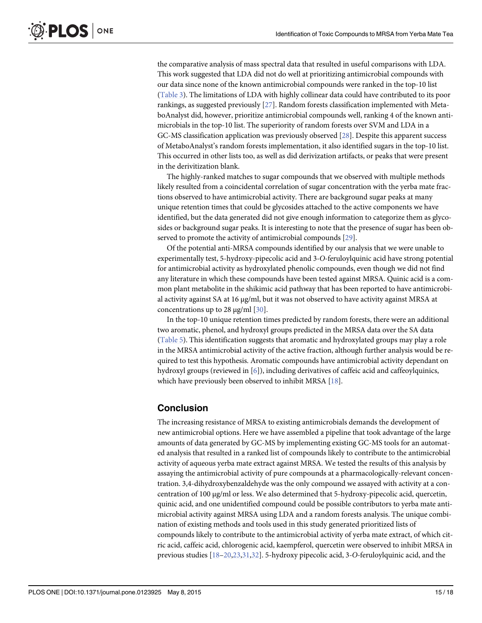<span id="page-16-0"></span>the comparative analysis of mass spectral data that resulted in useful comparisons with LDA. This work suggested that LDA did not do well at prioritizing antimicrobial compounds with our data since none of the known antimicrobial compounds were ranked in the top-10 list [\(Table 3\)](#page-13-0). The limitations of LDA with highly collinear data could have contributed to its poor rankings, as suggested previously [[27](#page-19-0)]. Random forests classification implemented with MetaboAnalyst did, however, prioritize antimicrobial compounds well, ranking 4 of the known antimicrobials in the top-10 list. The superiority of random forests over SVM and LDA in a GC-MS classification application was previously observed [\[28](#page-19-0)]. Despite this apparent success of MetaboAnalyst's random forests implementation, it also identified sugars in the top-10 list. This occurred in other lists too, as well as did derivization artifacts, or peaks that were present in the derivitization blank.

The highly-ranked matches to sugar compounds that we observed with multiple methods likely resulted from a coincidental correlation of sugar concentration with the yerba mate fractions observed to have antimicrobial activity. There are background sugar peaks at many unique retention times that could be glycosides attached to the active components we have identified, but the data generated did not give enough information to categorize them as glycosides or background sugar peaks. It is interesting to note that the presence of sugar has been ob-served to promote the activity of antimicrobial compounds [[29](#page-19-0)].

Of the potential anti-MRSA compounds identified by our analysis that we were unable to experimentally test, 5-hydroxy-pipecolic acid and 3-O-feruloylquinic acid have strong potential for antimicrobial activity as hydroxylated phenolic compounds, even though we did not find any literature in which these compounds have been tested against MRSA. Quinic acid is a common plant metabolite in the shikimic acid pathway that has been reported to have antimicrobial activity against SA at 16 μg/ml, but it was not observed to have activity against MRSA at concentrations up to 28 μg/ml [\[30\]](#page-19-0).

In the top-10 unique retention times predicted by random forests, there were an additional two aromatic, phenol, and hydroxyl groups predicted in the MRSA data over the SA data [\(Table 5\)](#page-15-0). This identification suggests that aromatic and hydroxylated groups may play a role in the MRSA antimicrobial activity of the active fraction, although further analysis would be required to test this hypothesis. Aromatic compounds have antimicrobial activity dependant on hydroxyl groups (reviewed in [[6\]](#page-18-0)), including derivatives of caffeic acid and caffeoylquinics, which have previously been observed to inhibit MRSA [\[18\]](#page-19-0).

# Conclusion

The increasing resistance of MRSA to existing antimicrobials demands the development of new antimicrobial options. Here we have assembled a pipeline that took advantage of the large amounts of data generated by GC-MS by implementing existing GC-MS tools for an automated analysis that resulted in a ranked list of compounds likely to contribute to the antimicrobial activity of aqueous yerba mate extract against MRSA. We tested the results of this analysis by assaying the antimicrobial activity of pure compounds at a pharmacologically-relevant concentration. 3,4-dihydroxybenzaldehyde was the only compound we assayed with activity at a concentration of 100 μg/ml or less. We also determined that 5-hydroxy-pipecolic acid, quercetin, quinic acid, and one unidentified compound could be possible contributors to yerba mate antimicrobial activity against MRSA using LDA and a random forests analysis. The unique combination of existing methods and tools used in this study generated prioritized lists of compounds likely to contribute to the antimicrobial activity of yerba mate extract, of which citric acid, caffeic acid, chlorogenic acid, kaempferol, quercetin were observed to inhibit MRSA in previous studies [\[18](#page-19-0)–[20,23,31](#page-19-0),[32](#page-19-0)]. 5-hydroxy pipecolic acid, 3-O-feruloylquinic acid, and the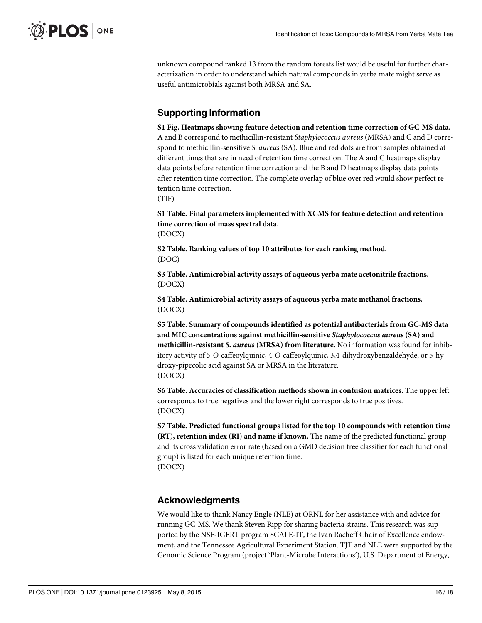<span id="page-17-0"></span>unknown compound ranked 13 from the random forests list would be useful for further characterization in order to understand which natural compounds in yerba mate might serve as useful antimicrobials against both MRSA and SA.

# Supporting Information

[S1 Fig.](http://www.plosone.org/article/fetchSingleRepresentation.action?uri=info:doi/10.1371/journal.pone.0123925.s001) Heatmaps showing feature detection and retention time correction of GC-MS data. A and B correspond to methicillin-resistant Staphylococcus aureus (MRSA) and C and D correspond to methicillin-sensitive S. aureus (SA). Blue and red dots are from samples obtained at different times that are in need of retention time correction. The A and C heatmaps display data points before retention time correction and the B and D heatmaps display data points after retention time correction. The complete overlap of blue over red would show perfect retention time correction.

(TIF)

[S1 Table](http://www.plosone.org/article/fetchSingleRepresentation.action?uri=info:doi/10.1371/journal.pone.0123925.s002). Final parameters implemented with XCMS for feature detection and retention time correction of mass spectral data. (DOCX)

[S2 Table](http://www.plosone.org/article/fetchSingleRepresentation.action?uri=info:doi/10.1371/journal.pone.0123925.s003). Ranking values of top 10 attributes for each ranking method. (DOC)

[S3 Table](http://www.plosone.org/article/fetchSingleRepresentation.action?uri=info:doi/10.1371/journal.pone.0123925.s004). Antimicrobial activity assays of aqueous yerba mate acetonitrile fractions. (DOCX)

[S4 Table](http://www.plosone.org/article/fetchSingleRepresentation.action?uri=info:doi/10.1371/journal.pone.0123925.s005). Antimicrobial activity assays of aqueous yerba mate methanol fractions. (DOCX)

[S5 Table](http://www.plosone.org/article/fetchSingleRepresentation.action?uri=info:doi/10.1371/journal.pone.0123925.s006). Summary of compounds identified as potential antibacterials from GC-MS data and MIC concentrations against methicillin-sensitive Staphylococcus aureus (SA) and methicillin-resistant S. aureus (MRSA) from literature. No information was found for inhibitory activity of 5-O-caffeoylquinic, 4-O-caffeoylquinic, 3,4-dihydroxybenzaldehyde, or 5-hydroxy-pipecolic acid against SA or MRSA in the literature. (DOCX)

[S6 Table](http://www.plosone.org/article/fetchSingleRepresentation.action?uri=info:doi/10.1371/journal.pone.0123925.s007). Accuracies of classification methods shown in confusion matrices. The upper left corresponds to true negatives and the lower right corresponds to true positives. (DOCX)

[S7 Table](http://www.plosone.org/article/fetchSingleRepresentation.action?uri=info:doi/10.1371/journal.pone.0123925.s008). Predicted functional groups listed for the top 10 compounds with retention time (RT), retention index (RI) and name if known. The name of the predicted functional group and its cross validation error rate (based on a GMD decision tree classifier for each functional group) is listed for each unique retention time. (DOCX)

# Acknowledgments

We would like to thank Nancy Engle (NLE) at ORNL for her assistance with and advice for running GC-MS. We thank Steven Ripp for sharing bacteria strains. This research was supported by the NSF-IGERT program SCALE-IT, the Ivan Racheff Chair of Excellence endowment, and the Tennessee Agricultural Experiment Station. TJT and NLE were supported by the Genomic Science Program (project 'Plant-Microbe Interactions'), U.S. Department of Energy,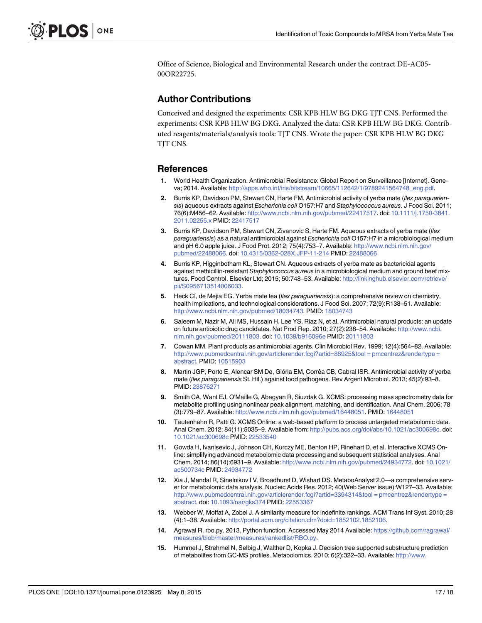<span id="page-18-0"></span>Office of Science, Biological and Environmental Research under the contract DE-AC05- 00OR22725.

## Author Contributions

Conceived and designed the experiments: CSR KPB HLW BG DKG TJT CNS. Performed the experiments: CSR KPB HLW BG DKG. Analyzed the data: CSR KPB HLW BG DKG. Contributed reagents/materials/analysis tools: TJT CNS. Wrote the paper: CSR KPB HLW BG DKG TJT CNS.

## References

- [1.](#page-3-0) World Health Organization. Antimicrobial Resistance: Global Report on Surveillance [Internet]. Geneva; 2014. Available: [http://apps.who.int/iris/bitstream/10665/112642/1/9789241564748\\_eng.pdf](http://apps.who.int/iris/bitstream/10665/112642/1/9789241564748_eng.pdf).
- [2.](#page-3-0) Burris KP, Davidson PM, Stewart CN, Harte FM. Antimicrobial activity of yerba mate (Ilex paraguariensis) aqueous extracts against Escherichia coli O157:H7 and Staphylococcus aureus. J Food Sci. 2011; 76(6):M456–62. Available: [http://www.ncbi.nlm.nih.gov/pubmed/22417517.](http://www.ncbi.nlm.nih.gov/pubmed/22417517) doi: [10.1111/j.1750-3841.](http://dx.doi.org/10.1111/j.1750-3841.2011.02255.x) [2011.02255.x](http://dx.doi.org/10.1111/j.1750-3841.2011.02255.x) PMID: [22417517](http://www.ncbi.nlm.nih.gov/pubmed/22417517)
- [3.](#page-3-0) Burris KP, Davidson PM, Stewart CN, Zivanovic S, Harte FM. Aqueous extracts of yerba mate (Ilex paraguariensis) as a natural antimicrobial against Escherichia coli O157:H7 in a microbiological medium and pH 6.0 apple juice. J Food Prot. 2012; 75(4):753–7. Available: [http://www.ncbi.nlm.nih.gov/](http://www.ncbi.nlm.nih.gov/pubmed/22488066) [pubmed/22488066.](http://www.ncbi.nlm.nih.gov/pubmed/22488066) doi: [10.4315/0362-028X.JFP-11-214](http://dx.doi.org/10.4315/0362-028X.JFP-11-214) PMID: [22488066](http://www.ncbi.nlm.nih.gov/pubmed/22488066)
- [4.](#page-3-0) Burris KP, Higginbotham KL, Stewart CN. Aqueous extracts of yerba mate as bactericidal agents against methicillin-resistant Staphylococcus aureus in a microbiological medium and ground beef mixtures. Food Control. Elsevier Ltd; 2015; 50:748–53. Available: [http://linkinghub.elsevier.com/retrieve/](http://linkinghub.elsevier.com/retrieve/pii/S0956713514006033) [pii/S0956713514006033.](http://linkinghub.elsevier.com/retrieve/pii/S0956713514006033)
- [5.](#page-3-0) Heck CI, de Mejia EG. Yerba mate tea (Ilex paraguariensis): a comprehensive review on chemistry, health implications, and technological considerations. J Food Sci. 2007; 72(9):R138-51. Available: <http://www.ncbi.nlm.nih.gov/pubmed/18034743>. PMID: [18034743](http://www.ncbi.nlm.nih.gov/pubmed/18034743)
- [6.](#page-3-0) Saleem M, Nazir M, Ali MS, Hussain H, Lee YS, Riaz N, et al. Antimicrobial natural products: an update on future antibiotic drug candidates. Nat Prod Rep. 2010; 27(2):238–54. Available: [http://www.ncbi.](http://www.ncbi.nlm.nih.gov/pubmed/20111803) [nlm.nih.gov/pubmed/20111803](http://www.ncbi.nlm.nih.gov/pubmed/20111803). doi: [10.1039/b916096e](http://dx.doi.org/10.1039/b916096e) PMID: [20111803](http://www.ncbi.nlm.nih.gov/pubmed/20111803)
- [7.](#page-3-0) Cowan MM. Plant products as antimicrobial agents. Clin Microbiol Rev. 1999; 12(4):564–82. Available: [http://www.pubmedcentral.nih.gov/articlerender.fcgi?artid=88925&tool = pmcentrez&rendertype =](http://www.pubmedcentral.nih.gov/articlerender.fcgi?artid=88925&tool�=�pmcentrez&rendertype�=�abstract) [abstract](http://www.pubmedcentral.nih.gov/articlerender.fcgi?artid=88925&tool�=�pmcentrez&rendertype�=�abstract). PMID: [10515903](http://www.ncbi.nlm.nih.gov/pubmed/10515903)
- [8.](#page-3-0) Martin JGP, Porto E, Alencar SM De, Glória EM, Corrêa CB, Cabral ISR. Antimicrobial activity of yerba mate (Ilex paraguariensis St. Hil.) against food pathogens. Rev Argent Microbiol. 2013; 45(2):93–8. PMID: [23876271](http://www.ncbi.nlm.nih.gov/pubmed/23876271)
- [9.](#page-5-0) Smith CA, Want EJ, O'Maille G, Abagyan R, Siuzdak G. XCMS: processing mass spectrometry data for metabolite profiling using nonlinear peak alignment, matching, and identification. Anal Chem. 2006; 78 (3):779–87. Available: <http://www.ncbi.nlm.nih.gov/pubmed/16448051>. PMID: [16448051](http://www.ncbi.nlm.nih.gov/pubmed/16448051)
- [10.](#page-5-0) Tautenhahn R, Patti G. XCMS Online: a web-based platform to process untargeted metabolomic data. Anal Chem. 2012; 84(11):5035–9. Available from: <http://pubs.acs.org/doi/abs/10.1021/ac300698c>. doi: [10.1021/ac300698c](http://dx.doi.org/10.1021/ac300698c) PMID: [22533540](http://www.ncbi.nlm.nih.gov/pubmed/22533540)
- [11.](#page-5-0) Gowda H, Ivanisevic J, Johnson CH, Kurczy ME, Benton HP, Rinehart D, et al. Interactive XCMS Online: simplifying advanced metabolomic data processing and subsequent statistical analyses. Anal Chem. 2014; 86(14):6931–9. Available: <http://www.ncbi.nlm.nih.gov/pubmed/24934772>. doi: [10.1021/](http://dx.doi.org/10.1021/ac500734c) [ac500734c](http://dx.doi.org/10.1021/ac500734c) PMID: [24934772](http://www.ncbi.nlm.nih.gov/pubmed/24934772)
- [12.](#page-6-0) Xia J, Mandal R, Sinelnikov I V, Broadhurst D, Wishart DS. MetaboAnalyst 2.0—a comprehensive server for metabolomic data analysis. Nucleic Acids Res. 2012; 40(Web Server issue):W127–33. Available: [http://www.pubmedcentral.nih.gov/articlerender.fcgi?artid=3394314&tool = pmcentrez&rendertype =](http://www.pubmedcentral.nih.gov/articlerender.fcgi?artid=3394314&tool�=�pmcentrez&rendertype�=�abstract) [abstract](http://www.pubmedcentral.nih.gov/articlerender.fcgi?artid=3394314&tool�=�pmcentrez&rendertype�=�abstract). doi: [10.1093/nar/gks374](http://dx.doi.org/10.1093/nar/gks374) PMID: [22553367](http://www.ncbi.nlm.nih.gov/pubmed/22553367)
- [13.](#page-6-0) Webber W, Moffat A, Zobel J. A similarity measure for indefinite rankings. ACM Trans Inf Syst. 2010; 28 (4):1–38. Available: <http://portal.acm.org/citation.cfm?doid=1852102.1852106>.
- [14.](#page-6-0) Agrawal R. rbo.py. 2013. Python function. Accessed May 2014 Available: [https://github.com/ragrawal/](https://github.com/ragrawal/measures/blob/master/measures/rankedlist/RBO.py) [measures/blob/master/measures/rankedlist/RBO.py.](https://github.com/ragrawal/measures/blob/master/measures/rankedlist/RBO.py)
- [15.](#page-6-0) Hummel J, Strehmel N, Selbig J, Walther D, Kopka J. Decision tree supported substructure prediction of metabolites from GC-MS profiles. Metabolomics. 2010; 6(2):322–33. Available: [http://www.](http://www.pubmedcentral.nih.gov/articlerender.fcgi?artid=2874469&tool�=�pmcentrez&rendertype�=�abstract)